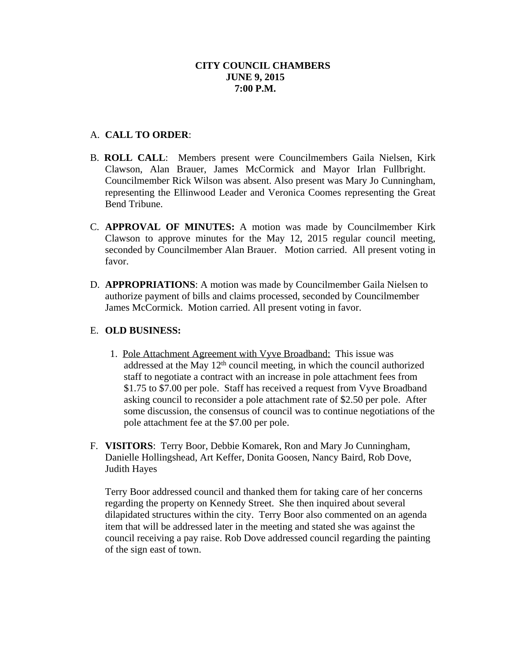## A. **CALL TO ORDER**:

- B. **ROLL CALL**: Members present were Councilmembers Gaila Nielsen, Kirk Clawson, Alan Brauer, James McCormick and Mayor Irlan Fullbright. Councilmember Rick Wilson was absent. Also present was Mary Jo Cunningham, representing the Ellinwood Leader and Veronica Coomes representing the Great Bend Tribune.
- C. **APPROVAL OF MINUTES:** A motion was made by Councilmember Kirk Clawson to approve minutes for the May 12, 2015 regular council meeting, seconded by Councilmember Alan Brauer. Motion carried. All present voting in favor.
- D. **APPROPRIATIONS**: A motion was made by Councilmember Gaila Nielsen to authorize payment of bills and claims processed, seconded by Councilmember James McCormick. Motion carried. All present voting in favor.

## E. **OLD BUSINESS:**

- 1. Pole Attachment Agreement with Vyve Broadband: This issue was addressed at the May 12<sup>th</sup> council meeting, in which the council authorized staff to negotiate a contract with an increase in pole attachment fees from \$1.75 to \$7.00 per pole. Staff has received a request from Vyve Broadband asking council to reconsider a pole attachment rate of \$2.50 per pole. After some discussion, the consensus of council was to continue negotiations of the pole attachment fee at the \$7.00 per pole.
- F. **VISITORS**: Terry Boor, Debbie Komarek, Ron and Mary Jo Cunningham, Danielle Hollingshead, Art Keffer, Donita Goosen, Nancy Baird, Rob Dove, Judith Hayes

Terry Boor addressed council and thanked them for taking care of her concerns regarding the property on Kennedy Street. She then inquired about several dilapidated structures within the city. Terry Boor also commented on an agenda item that will be addressed later in the meeting and stated she was against the council receiving a pay raise. Rob Dove addressed council regarding the painting of the sign east of town.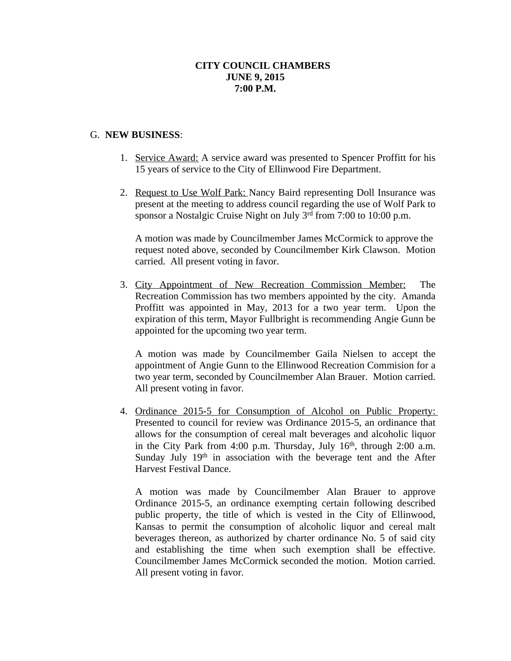#### G. **NEW BUSINESS**:

- 1. Service Award: A service award was presented to Spencer Proffitt for his 15 years of service to the City of Ellinwood Fire Department.
- 2. Request to Use Wolf Park: Nancy Baird representing Doll Insurance was present at the meeting to address council regarding the use of Wolf Park to sponsor a Nostalgic Cruise Night on July 3<sup>rd</sup> from 7:00 to 10:00 p.m.

A motion was made by Councilmember James McCormick to approve the request noted above, seconded by Councilmember Kirk Clawson. Motion carried. All present voting in favor.

3. City Appointment of New Recreation Commission Member: The Recreation Commission has two members appointed by the city. Amanda Proffitt was appointed in May, 2013 for a two year term. Upon the expiration of this term, Mayor Fullbright is recommending Angie Gunn be appointed for the upcoming two year term.

A motion was made by Councilmember Gaila Nielsen to accept the appointment of Angie Gunn to the Ellinwood Recreation Commision for a two year term, seconded by Councilmember Alan Brauer. Motion carried. All present voting in favor.

4. Ordinance 2015-5 for Consumption of Alcohol on Public Property: Presented to council for review was Ordinance 2015-5, an ordinance that allows for the consumption of cereal malt beverages and alcoholic liquor in the City Park from 4:00 p.m. Thursday, July 16<sup>th</sup>, through 2:00 a.m. Sunday July 19<sup>th</sup> in association with the beverage tent and the After Harvest Festival Dance.

A motion was made by Councilmember Alan Brauer to approve Ordinance 2015-5, an ordinance exempting certain following described public property, the title of which is vested in the City of Ellinwood, Kansas to permit the consumption of alcoholic liquor and cereal malt beverages thereon, as authorized by charter ordinance No. 5 of said city and establishing the time when such exemption shall be effective. Councilmember James McCormick seconded the motion. Motion carried. All present voting in favor.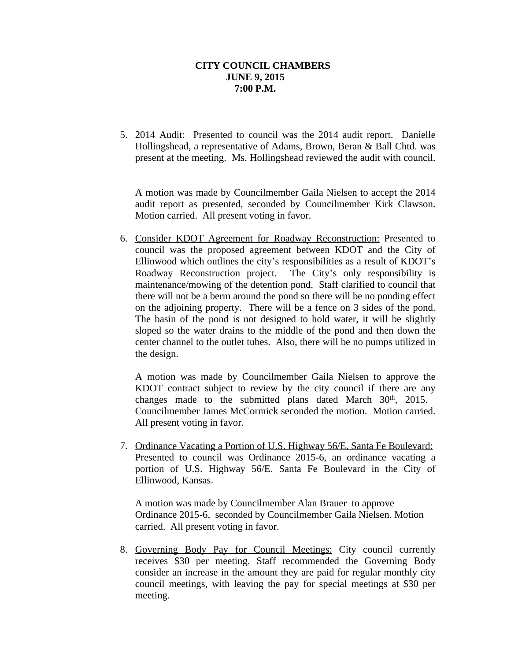5. 2014 Audit: Presented to council was the 2014 audit report. Danielle Hollingshead, a representative of Adams, Brown, Beran & Ball Chtd. was present at the meeting. Ms. Hollingshead reviewed the audit with council.

A motion was made by Councilmember Gaila Nielsen to accept the 2014 audit report as presented, seconded by Councilmember Kirk Clawson. Motion carried. All present voting in favor.

6. Consider KDOT Agreement for Roadway Reconstruction: Presented to council was the proposed agreement between KDOT and the City of Ellinwood which outlines the city's responsibilities as a result of KDOT's Roadway Reconstruction project. The City's only responsibility is maintenance/mowing of the detention pond. Staff clarified to council that there will not be a berm around the pond so there will be no ponding effect on the adjoining property. There will be a fence on 3 sides of the pond. The basin of the pond is not designed to hold water, it will be slightly sloped so the water drains to the middle of the pond and then down the center channel to the outlet tubes. Also, there will be no pumps utilized in the design.

A motion was made by Councilmember Gaila Nielsen to approve the KDOT contract subject to review by the city council if there are any changes made to the submitted plans dated March 30<sup>th</sup>, 2015. Councilmember James McCormick seconded the motion. Motion carried. All present voting in favor.

7. Ordinance Vacating a Portion of U.S. Highway 56/E. Santa Fe Boulevard: Presented to council was Ordinance 2015-6, an ordinance vacating a portion of U.S. Highway 56/E. Santa Fe Boulevard in the City of Ellinwood, Kansas.

A motion was made by Councilmember Alan Brauer to approve Ordinance 2015-6, seconded by Councilmember Gaila Nielsen. Motion carried. All present voting in favor.

8. Governing Body Pay for Council Meetings: City council currently receives \$30 per meeting. Staff recommended the Governing Body consider an increase in the amount they are paid for regular monthly city council meetings, with leaving the pay for special meetings at \$30 per meeting.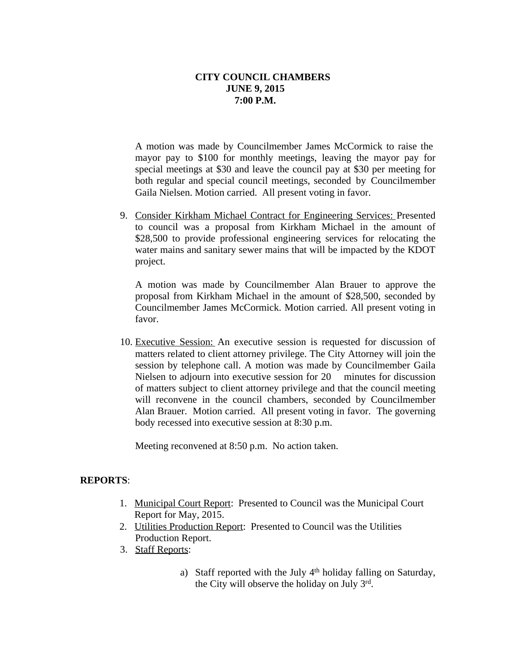A motion was made by Councilmember James McCormick to raise the mayor pay to \$100 for monthly meetings, leaving the mayor pay for special meetings at \$30 and leave the council pay at \$30 per meeting for both regular and special council meetings, seconded by Councilmember Gaila Nielsen. Motion carried. All present voting in favor.

9. Consider Kirkham Michael Contract for Engineering Services: Presented to council was a proposal from Kirkham Michael in the amount of \$28,500 to provide professional engineering services for relocating the water mains and sanitary sewer mains that will be impacted by the KDOT project.

A motion was made by Councilmember Alan Brauer to approve the proposal from Kirkham Michael in the amount of \$28,500, seconded by Councilmember James McCormick. Motion carried. All present voting in favor.

10. Executive Session: An executive session is requested for discussion of matters related to client attorney privilege. The City Attorney will join the session by telephone call. A motion was made by Councilmember Gaila Nielsen to adjourn into executive session for 20 minutes for discussion of matters subject to client attorney privilege and that the council meeting will reconvene in the council chambers, seconded by Councilmember Alan Brauer. Motion carried. All present voting in favor. The governing body recessed into executive session at 8:30 p.m.

Meeting reconvened at 8:50 p.m. No action taken.

### **REPORTS**:

- 1. Municipal Court Report: Presented to Council was the Municipal Court Report for May, 2015.
- 2. Utilities Production Report: Presented to Council was the Utilities Production Report.
- 3. Staff Reports:
	- a) Staff reported with the July 4<sup>th</sup> holiday falling on Saturday, the City will observe the holiday on July 3rd.